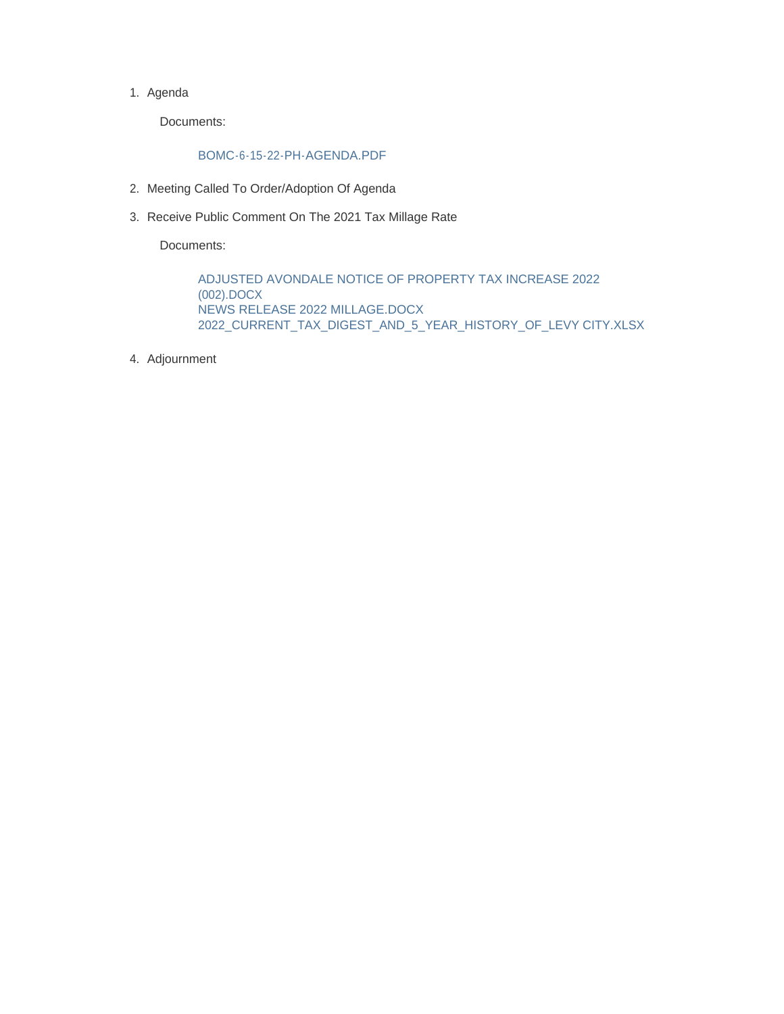1. Agenda

Documents:

#### BOMC-6-15-22-PH-AGENDA.PDF

- 2. Meeting Called To Order/Adoption Of Agenda
- 3. Receive Public Comment On The 2021 Tax Millage Rate

Documents:

ADJUSTED AVONDALE NOTICE OF PROPERTY TAX INCREASE 2022 (002).DOCX NEWS RELEASE 2022 MILLAGE.DOCX 2022\_CURRENT\_TAX\_DIGEST\_AND\_5\_YEAR\_HISTORY\_OF\_LEVY CITY.XLSX

Adjournment 4.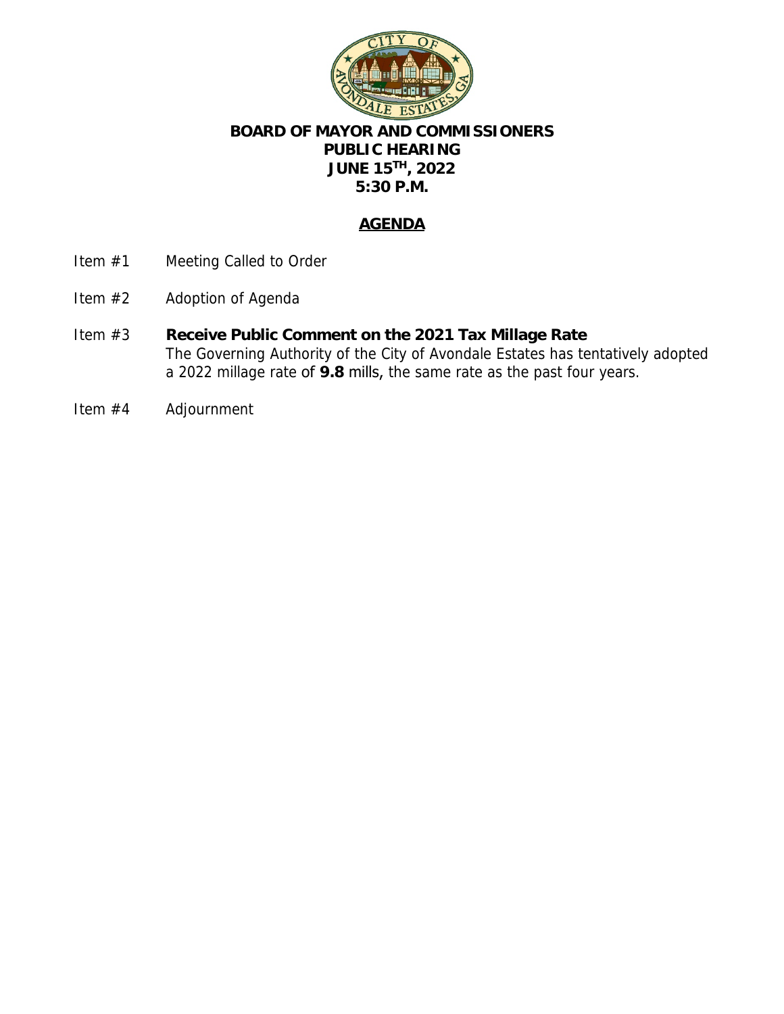

## **BOARD OF MAYOR AND COMMISSIONERS PUBLIC HEARING JUNE 15TH, 2022 5:30 P.M.**

### **AGENDA**

- Item #1 Meeting Called to Order
- Item #2 Adoption of Agenda
- Item #3 **Receive Public Comment on the 2021 Tax Millage Rate** The Governing Authority of the City of Avondale Estates has tentatively adopted a 2022 millage rate of **9.8** mills, the same rate as the past four years.
- Item #4 Adjournment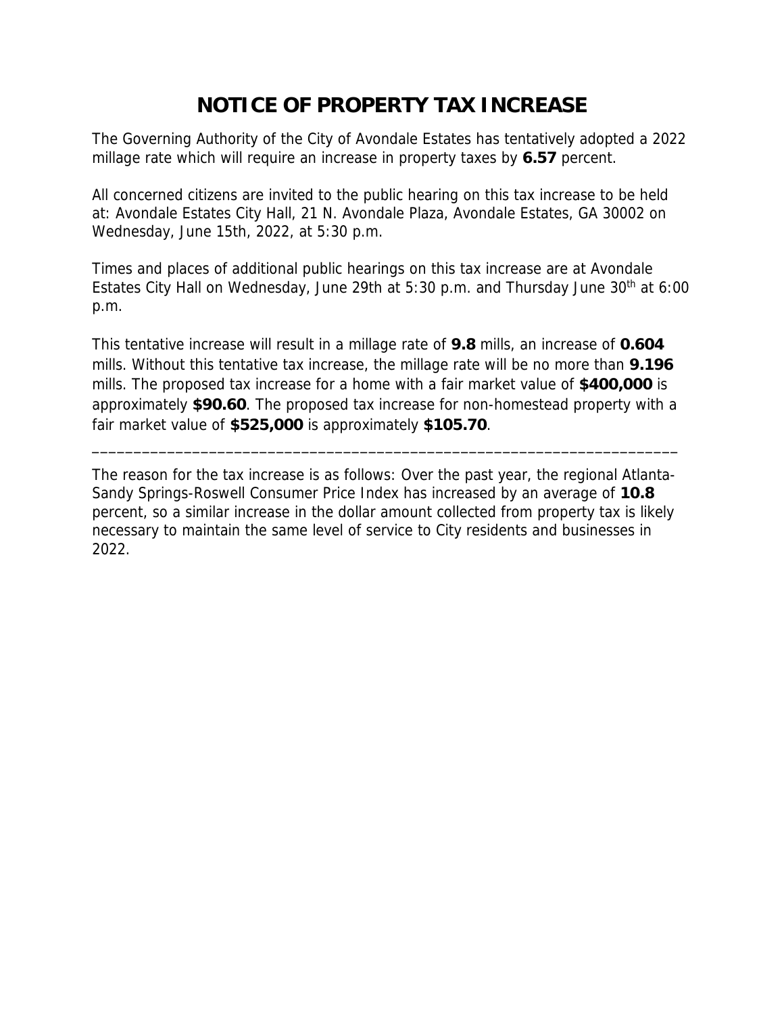# **NOTICE OF PROPERTY TAX INCREASE**

The Governing Authority of the City of Avondale Estates has tentatively adopted a 2022 millage rate which will require an increase in property taxes by **6.57** percent.

All concerned citizens are invited to the public hearing on this tax increase to be held at: Avondale Estates City Hall, 21 N. Avondale Plaza, Avondale Estates, GA 30002 on Wednesday, June 15th, 2022, at 5:30 p.m.

Times and places of additional public hearings on this tax increase are at Avondale Estates City Hall on Wednesday, June 29th at 5:30 p.m. and Thursday June  $30<sup>th</sup>$  at 6:00 p.m.

This tentative increase will result in a millage rate of **9.8** mills, an increase of **0.604** mills. Without this tentative tax increase, the millage rate will be no more than **9.196** mills. The proposed tax increase for a home with a fair market value of **\$400,000** is approximately **\$90.60**. The proposed tax increase for non-homestead property with a fair market value of **\$525,000** is approximately **\$105.70**.

\_\_\_\_\_\_\_\_\_\_\_\_\_\_\_\_\_\_\_\_\_\_\_\_\_\_\_\_\_\_\_\_\_\_\_\_\_\_\_\_\_\_\_\_\_\_\_\_\_\_\_\_\_\_\_\_\_\_\_\_\_\_\_\_\_\_\_\_\_\_

The reason for the tax increase is as follows: Over the past year, the regional Atlanta-Sandy Springs-Roswell Consumer Price Index has increased by an average of **10.8**  percent, so a similar increase in the dollar amount collected from property tax is likely necessary to maintain the same level of service to City residents and businesses in 2022.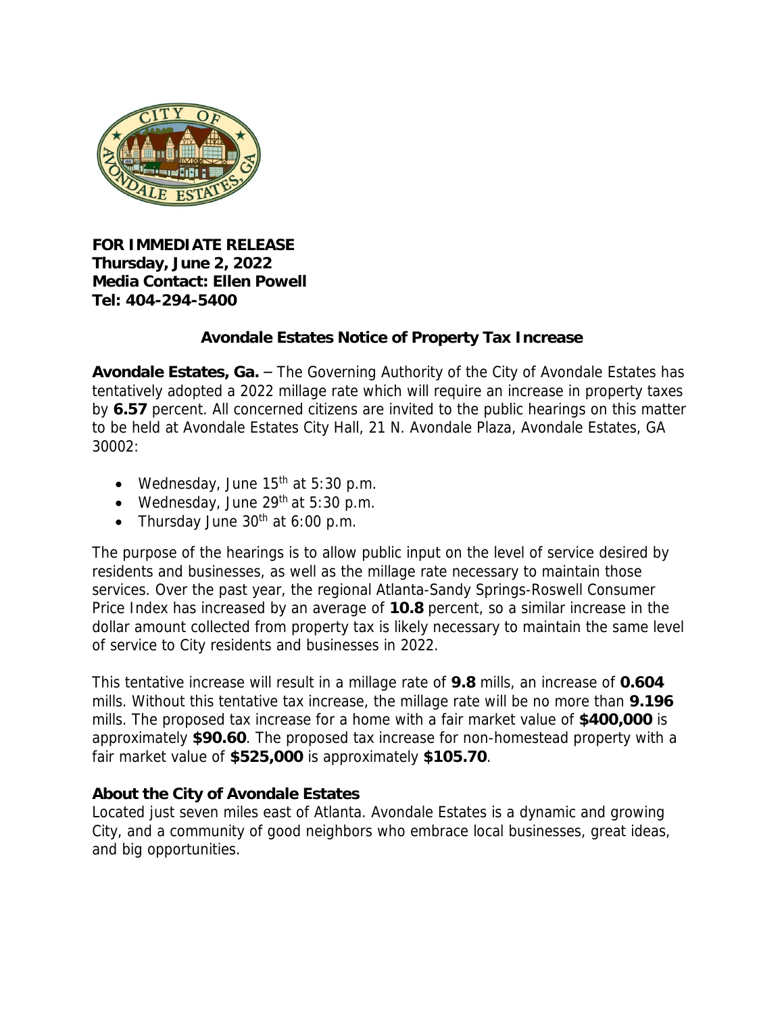

**FOR IMMEDIATE RELEASE Thursday, June 2, 2022 Media Contact: Ellen Powell Tel: 404-294-5400**

### **Avondale Estates Notice of Property Tax Increase**

**Avondale Estates, Ga.** – The Governing Authority of the City of Avondale Estates has tentatively adopted a 2022 millage rate which will require an increase in property taxes by **6.57** percent. All concerned citizens are invited to the public hearings on this matter to be held at Avondale Estates City Hall, 21 N. Avondale Plaza, Avondale Estates, GA 30002:

- Wednesday, June 15<sup>th</sup> at 5:30 p.m.
- Wednesday, June  $29<sup>th</sup>$  at 5:30 p.m.
- Thursday June  $30<sup>th</sup>$  at 6:00 p.m.

The purpose of the hearings is to allow public input on the level of service desired by residents and businesses, as well as the millage rate necessary to maintain those services. Over the past year, the regional Atlanta-Sandy Springs-Roswell Consumer Price Index has increased by an average of **10.8** percent, so a similar increase in the dollar amount collected from property tax is likely necessary to maintain the same level of service to City residents and businesses in 2022.

This tentative increase will result in a millage rate of **9.8** mills, an increase of **0.604** mills. Without this tentative tax increase, the millage rate will be no more than **9.196** mills. The proposed tax increase for a home with a fair market value of **\$400,000** is approximately **\$90.60**. The proposed tax increase for non-homestead property with a fair market value of **\$525,000** is approximately **\$105.70**.

#### **About the City of Avondale Estates**

Located just seven miles east of Atlanta. Avondale Estates is a dynamic and growing City, and a community of good neighbors who embrace local businesses, great ideas, and big opportunities.